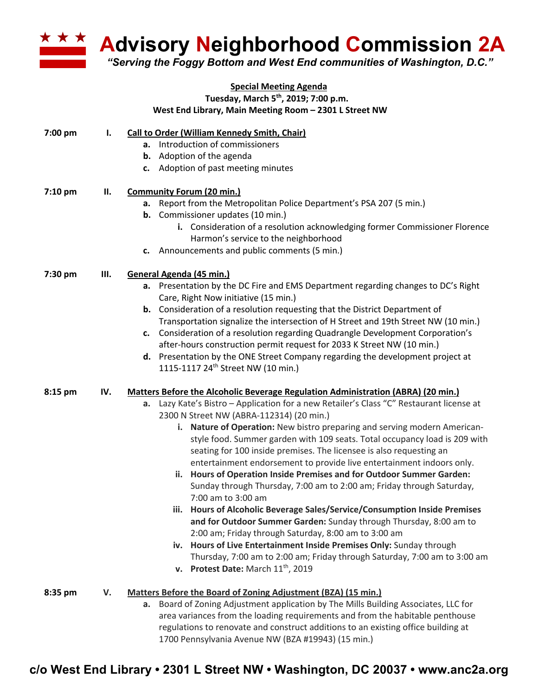

**Advisory Neighborhood Commission 2A** 

*"Serving the Foggy Bottom and West End communities of Washington, D.C."*

## **Special Meeting Agenda Tuesday, March 5th, 2019; 7:00 p.m. West End Library, Main Meeting Room – 2301 L Street NW**

| 7:00 pm | ı.  | <b>Call to Order (William Kennedy Smith, Chair)</b><br>a. Introduction of commissioners     |
|---------|-----|---------------------------------------------------------------------------------------------|
|         |     | <b>b.</b> Adoption of the agenda                                                            |
|         |     | c. Adoption of past meeting minutes                                                         |
|         |     |                                                                                             |
| 7:10 pm | Ш.  | <b>Community Forum (20 min.)</b>                                                            |
|         |     | a. Report from the Metropolitan Police Department's PSA 207 (5 min.)                        |
|         |     | <b>b.</b> Commissioner updates (10 min.)                                                    |
|         |     | i. Consideration of a resolution acknowledging former Commissioner Florence                 |
|         |     | Harmon's service to the neighborhood                                                        |
|         |     | c. Announcements and public comments (5 min.)                                               |
| 7:30 pm | Ш.  | General Agenda (45 min.)                                                                    |
|         |     | a. Presentation by the DC Fire and EMS Department regarding changes to DC's Right           |
|         |     | Care, Right Now initiative (15 min.)                                                        |
|         |     | <b>b.</b> Consideration of a resolution requesting that the District Department of          |
|         |     | Transportation signalize the intersection of H Street and 19th Street NW (10 min.)          |
|         |     | Consideration of a resolution regarding Quadrangle Development Corporation's<br>c.          |
|         |     | after-hours construction permit request for 2033 K Street NW (10 min.)                      |
|         |     | d. Presentation by the ONE Street Company regarding the development project at              |
|         |     | 1115-1117 24 <sup>th</sup> Street NW (10 min.)                                              |
| 8:15 pm | IV. | <b>Matters Before the Alcoholic Beverage Regulation Administration (ABRA) (20 min.)</b>     |
|         |     | Lazy Kate's Bistro - Application for a new Retailer's Class "C" Restaurant license at<br>a. |
|         |     | 2300 N Street NW (ABRA-112314) (20 min.)                                                    |
|         |     | i. Nature of Operation: New bistro preparing and serving modern American-                   |
|         |     | style food. Summer garden with 109 seats. Total occupancy load is 209 with                  |
|         |     | seating for 100 inside premises. The licensee is also requesting an                         |
|         |     | entertainment endorsement to provide live entertainment indoors only.                       |
|         |     | ii. Hours of Operation Inside Premises and for Outdoor Summer Garden:                       |
|         |     | Sunday through Thursday, 7:00 am to 2:00 am; Friday through Saturday,                       |
|         |     | 7:00 am to 3:00 am                                                                          |
|         |     | Hours of Alcoholic Beverage Sales/Service/Consumption Inside Premises<br>Ш.                 |
|         |     | and for Outdoor Summer Garden: Sunday through Thursday, 8:00 am to                          |
|         |     | 2:00 am; Friday through Saturday, 8:00 am to 3:00 am                                        |
|         |     | iv. Hours of Live Entertainment Inside Premises Only: Sunday through                        |
|         |     | Thursday, 7:00 am to 2:00 am; Friday through Saturday, 7:00 am to 3:00 am                   |
|         |     | v. Protest Date: March 11 <sup>th</sup> , 2019                                              |
| 8:35 pm | V.  | Matters Before the Board of Zoning Adjustment (BZA) (15 min.)                               |
|         |     | a. Board of Zoning Adjustment application by The Mills Building Associates, LLC for         |
|         |     | area variances from the loading requirements and from the habitable penthouse               |
|         |     | regulations to renovate and construct additions to an existing office building at           |

1700 Pennsylvania Avenue NW (BZA #19943) (15 min.)